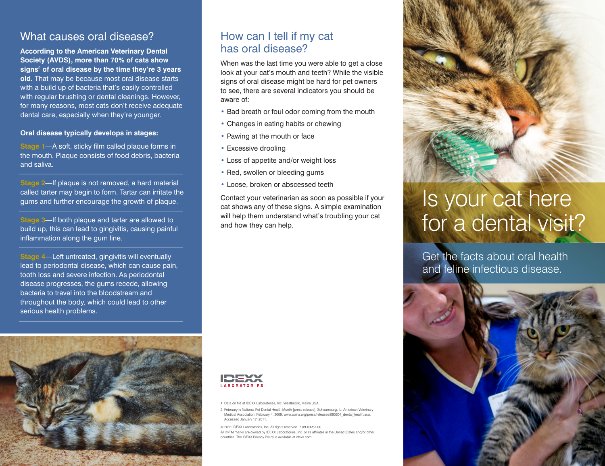## What causes oral disease?

**According to the American Veterinary Dental Society (AVDS), more than 70% of cats show signs**<sup>2</sup>  **of oral disease by the time they're 3 years old.** That may be because most oral disease starts with a build up of bacteria that's easily controlled with regular brushing or dental cleanings. However, for many reasons, most cats don't receive adequate dental care, especially when they're younger.

### **Oral disease typically develops in stages:**

**Stage 1**—A soft, sticky film called plaque forms in the mouth. Plaque consists of food debris, bacteria and saliva.

**Stage 2**—If plaque is not removed, a hard material called tarter may begin to form. Tartar can irritate the gums and further encourage the growth of plaque.

**Stage 3**—If both plaque and tartar are allowed to build up, this can lead to gingivitis, causing painful inflammation along the gum line.

**Stage 4**—Left untreated, gingivitis will eventually lead to periodontal disease, which can cause pain, tooth loss and severe infection. As periodontal disease progresses, the gums recede, allowing bacteria to travel into the bloodstream and throughout the body, which could lead to other serious health problems.

## How can I tell if my cat has oral disease?

When was the last time you were able to get a close look at your cat's mouth and teeth? While the visible signs of oral disease might be hard for pet owners to see, there are several indicators you should be aware of:

- Bad breath or foul odor coming from the mouth
- Changes in eating habits or chewing
- Pawing at the mouth or face
- Excessive drooling
- Loss of appetite and/or weight loss
- Red, swollen or bleeding gums
- Loose, broken or abscessed teeth

Contact your veterinarian as soon as possible if your cat shows any of these signs. A simple examination will help them understand what's troubling your cat and how they can help.



1. Data on file at IDEXX Laboratories, Inc. Westbrook, Maine USA.

2. February is National Pet Dental Health Month [press release]. Schaumburg, IL: American Veterinary Medical Association; February 4, 2009. www.avma.org/press/releases/090204\_dental\_health.asp. Accessed January 17, 2011.

© 2011 IDEXX Laboratories, Inc. All rights reserved. • 09-69267-00

All ®/TM marks are owned by IDEXX Laboratories, Inc. or its affiliates in the United States and/or other countries. The IDEXX Privacy Policy is available at idexx.com.



# Is your cat here for a dental visit?

Get the facts about oral health and feline infectious disease.